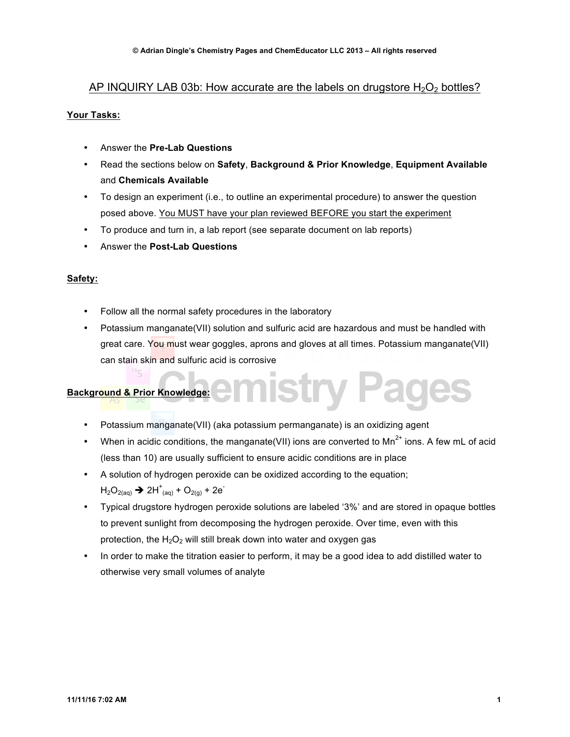# AP INQUIRY LAB 03b: How accurate are the labels on drugstore  $H_2O_2$  bottles?

# **Your Tasks:**

- Answer the **Pre-Lab Questions**
- Read the sections below on **Safety**, **Background & Prior Knowledge**, **Equipment Available** and **Chemicals Available**
- To design an experiment (i.e., to outline an experimental procedure) to answer the question posed above. You MUST have your plan reviewed BEFORE you start the experiment
- To produce and turn in, a lab report (see separate document on lab reports)
- Answer the **Post-Lab Questions**

# **Safety:**

- Follow all the normal safety procedures in the laboratory
- Potassium manganate(VII) solution and sulfuric acid are hazardous and must be handled with great care. You must wear goggles, aprons and gloves at all times. Potassium manganate(VII) can stain skin and sulfuric acid is corrosive

## **Background & Prior Knowledge:**

- Potassium manganate(VII) (aka potassium permanganate) is an oxidizing agent
- When in acidic conditions, the manganate (VII) ions are converted to Mn<sup>2+</sup> ions. A few mL of acid (less than 10) are usually sufficient to ensure acidic conditions are in place
- A solution of hydrogen peroxide can be oxidized according to the equation;  $H_2O_{2(aq)}$   $\rightarrow$  2H<sup>+</sup><sub>(aq)</sub> + O<sub>2(g)</sub> + 2e<sup>-</sup>
- Typical drugstore hydrogen peroxide solutions are labeled '3%' and are stored in opaque bottles to prevent sunlight from decomposing the hydrogen peroxide. Over time, even with this protection, the  $H_2O_2$  will still break down into water and oxygen gas
- In order to make the titration easier to perform, it may be a good idea to add distilled water to otherwise very small volumes of analyte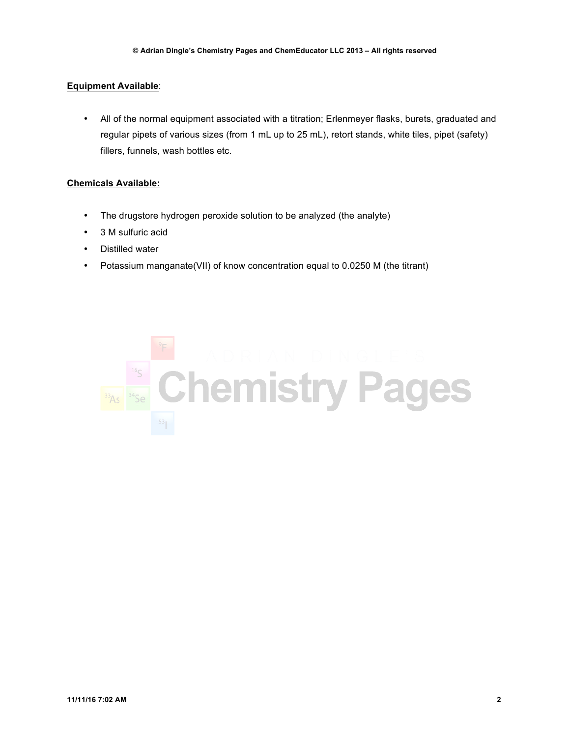## **Equipment Available**:

• All of the normal equipment associated with a titration; Erlenmeyer flasks, burets, graduated and regular pipets of various sizes (from 1 mL up to 25 mL), retort stands, white tiles, pipet (safety) fillers, funnels, wash bottles etc.

#### **Chemicals Available:**

- The drugstore hydrogen peroxide solution to be analyzed (the analyte)
- 3 M sulfuric acid
- Distilled water
- Potassium manganate(VII) of know concentration equal to 0.0250 M (the titrant)

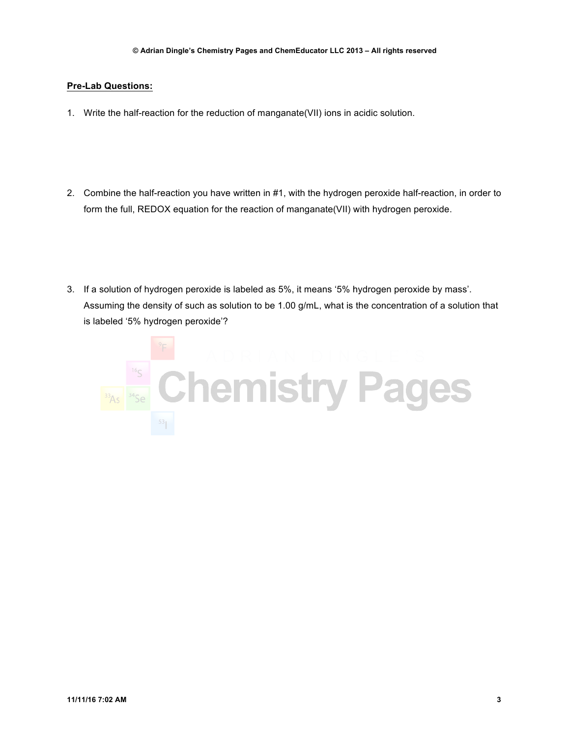### **Pre-Lab Questions:**

- 1. Write the half-reaction for the reduction of manganate(VII) ions in acidic solution.
- 2. Combine the half-reaction you have written in #1, with the hydrogen peroxide half-reaction, in order to form the full, REDOX equation for the reaction of manganate(VII) with hydrogen peroxide.
- 3. If a solution of hydrogen peroxide is labeled as 5%, it means '5% hydrogen peroxide by mass'. Assuming the density of such as solution to be 1.00 g/mL, what is the concentration of a solution that is labeled '5% hydrogen peroxide'?